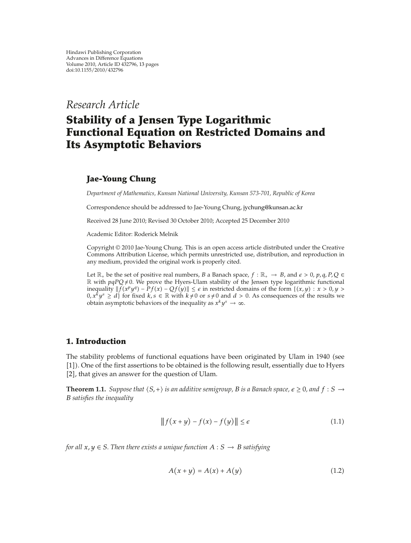*Research Article*

# **Stability of a Jensen Type Logarithmic Functional Equation on Restricted Domains and Its Asymptotic Behaviors**

## **Jae-Young Chung**

*Department of Mathematics, Kunsan National University, Kunsan 573-701, Republic of Korea*

Correspondence should be addressed to Jae-Young Chung, jychung@kunsan.ac.kr

Received 28 June 2010; Revised 30 October 2010; Accepted 25 December 2010

Academic Editor: Roderick Melnik

Copyright  $\odot$  2010 Jae-Young Chung. This is an open access article distributed under the Creative Commons Attribution License, which permits unrestricted use, distribution, and reproduction in any medium, provided the original work is properly cited.

Let  $\mathbb{R}_+$  be the set of positive real numbers, *B* a Banach space,  $f : \mathbb{R}_+ \to B$ , and  $\epsilon > 0$ ,  $p, q, P, Q \in \mathbb{R}$  $\mathbb R$  with  $pqPQ \neq 0$ . We prove the Hyers-Ulam stability of the Jensen type logarithmic functional *i*nequality  $||f(x^py^q) - Pf(x) - Qf(y)|| \le \epsilon$  in restricted domains of the form {(*x, y*) : *x* > 0*, y* >  $0, x^k y^s \ge d$  for fixed  $k, s \in \mathbb{R}$  with  $k \ne 0$  or  $s \ne 0$  and  $d > 0$ . As consequences of the results we obtain asymptotic behaviors of the inequality as  $x^k y^s \to \infty$ .

## **1. Introduction**

The stability problems of functional equations have been originated by Ulam in 1940 (see [1]). One of the first assertions to be obtained is the following result, essentially due to Hyers [2], that gives an answer for the question of Ulam.

**Theorem 1.1.** Suppose that  $\langle S, + \rangle$  is an additive semigroup, B is a Banach space,  $\epsilon \geq 0$ , and  $f: S \to$ *B satisfies the inequality*

$$
|| f(x+y) - f(x) - f(y)|| \le \epsilon
$$
\n(1.1)

*for all*  $x, y \in S$ *. Then there exists a unique function*  $A : S \rightarrow B$  *satisfying* 

$$
A(x + y) = A(x) + A(y)
$$
\n<sup>(1.2)</sup>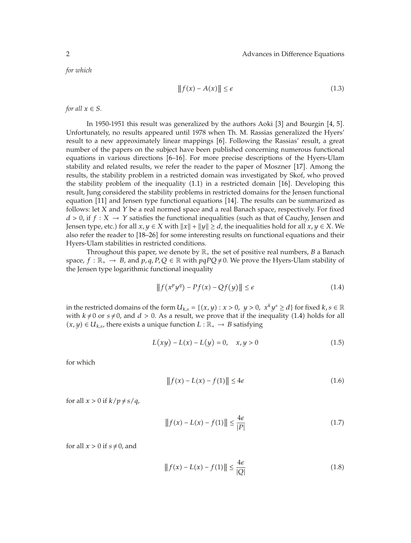*for which*

$$
||f(x) - A(x)|| \le \epsilon \tag{1.3}
$$

*for all*  $x \in S$ *.* 

In 1950-1951 this result was generalized by the authors Aoki  $[3]$  and Bourgin  $[4, 5]$ . Unfortunately, no results appeared until 1978 when Th. M. Rassias generalized the Hyers' result to a new approximately linear mappings [6]. Following the Rassias' result, a great number of the papers on the subject have been published concerning numerous functional equations in various directions [6–16]. For more precise descriptions of the Hyers-Ulam stability and related results, we refer the reader to the paper of Moszner [17]. Among the results, the stability problem in a restricted domain was investigated by Skof, who proved the stability problem of the inequality  $(1.1)$  in a restricted domain  $[16]$ . Developing this result, Jung considered the stability problems in restricted domains for the Jensen functional equation  $[11]$  and Jensen type functional equations  $[14]$ . The results can be summarized as follows: let *X* and *Y* be a real normed space and a real Banach space, respectively. For fixed  $d > 0$ , if  $f : X \to Y$  satisfies the functional inequalities (such as that of Cauchy, Jensen and Jensen type, etc.) for all  $x, y \in X$  with  $||x|| + ||y|| \ge d$ , the inequalities hold for all  $x, y \in X$ . We also refer the reader to [18–26] for some interesting results on functional equations and their Hyers-Ulam stabilities in restricted conditions.

Throughout this paper, we denote by  $\mathbb{R}_+$  the set of positive real numbers, *B* a Banach space,  $f : \mathbb{R}_+ \to B$ , and  $p, q, P, Q \in \mathbb{R}$  with  $pqPQ \neq 0$ . We prove the Hyers-Ulam stability of the Jensen type logarithmic functional inequality

$$
||f(x^p y^q) - Pf(x) - Qf(y)|| \le \epsilon \tag{1.4}
$$

in the restricted domains of the form  $U_{k,s} = \{(x, y) : x > 0, y > 0, x^k y^s \ge d\}$  for fixed  $k, s \in \mathbb{R}$ with  $k \neq 0$  or  $s \neq 0$ , and  $d > 0$ . As a result, we prove that if the inequality (1.4) holds for all *(x, y)* ∈ *U<sub>k,s</sub>,* there exists a unique function *L* :  $\mathbb{R}_+$  → *B* satisfying

$$
L(xy) - L(x) - L(y) = 0, \quad x, y > 0
$$
\n(1.5)

for which

$$
|| f(x) - L(x) - f(1)|| \le 4\epsilon \tag{1.6}
$$

for all  $x > 0$  if  $k/p \neq s/q$ ,

$$
|| f(x) - L(x) - f(1)|| \le \frac{4\epsilon}{|P|}
$$
 (1.7)

for all  $x > 0$  if  $s \neq 0$ , and

$$
|| f(x) - L(x) - f(1)|| \le \frac{4\epsilon}{|Q|}
$$
 (1.8)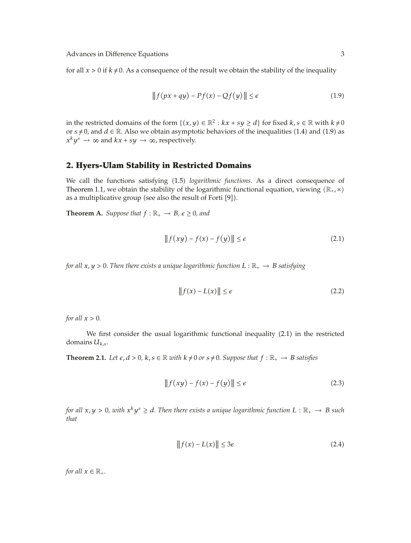for all  $x > 0$  if  $k \neq 0$ . As a consequence of the result we obtain the stability of the inequality

$$
|| f(px + qy) - Pf(x) - Qf(y)|| \le \epsilon
$$
\n(1.9)

in the restricted domains of the form  $\{(x, y) \in \mathbb{R}^2 : kx + sy \ge d\}$  for fixed  $k, s \in \mathbb{R}$  with  $k \ne 0$ or  $s \neq 0$ , and  $d \in \mathbb{R}$ . Also we obtain asymptotic behaviors of the inequalities (1.4) and (1.9) as  $x^k y^s \rightarrow \infty$  and  $kx + sy \rightarrow \infty$ , respectively.

#### **2. Hyers-Ulam Stability in Restricted Domains**

We call the functions satisfying (1.5) *logarithmic functions*. As a direct consequence of Theorem 1.1, we obtain the stability of the logarithmic functional equation, viewing  $(\mathbb{R}_{+}, \times)$ as a multiplicative group (see also the result of Forti  $[9]$ ).

**Theorem A.** *Suppose that*  $f : \mathbb{R}_+ \to B$ *,*  $\epsilon \ge 0$ *, and* 

$$
|| f(xy) - f(x) - f(y)|| \le \epsilon
$$
\n(2.1)

*for all*  $x, y > 0$ . Then there exists a unique logarithmic function  $L : \mathbb{R}_+ \to B$  satisfying

$$
||f(x) - L(x)|| \le \epsilon \tag{2.2}
$$

*for all*  $x > 0$ *.* 

We first consider the usual logarithmic functional inequality (2.1) in the restricted domains *Uk,s*.

**Theorem 2.1.** Let  $\epsilon$ ,  $d > 0$ ,  $k$ ,  $s \in \mathbb{R}$  with  $k \neq 0$  or  $s \neq 0$ . Suppose that  $f : \mathbb{R}_+ \to B$  satisfies

$$
|| f(xy) - f(x) - f(y)|| \le \epsilon
$$
\n(2.3)

*for all*  $x, y > 0$ , with  $x^k y^s \geq d$ . Then there exists a unique logarithmic function  $L : \mathbb{R}_+ \to B$  such *that*

$$
|| f(x) - L(x) || \le 3\epsilon \tag{2.4}
$$

*for all*  $x \in \mathbb{R}_+$ *.*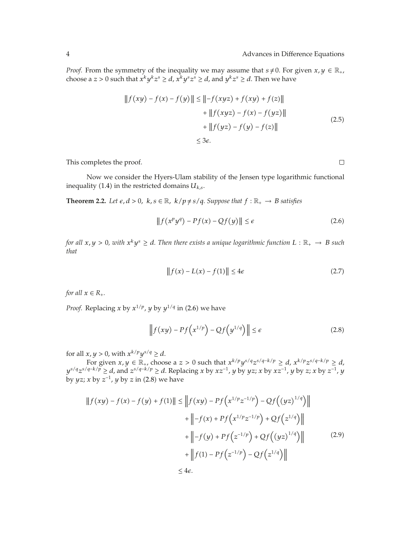*Proof.* From the symmetry of the inequality we may assume that  $s \neq 0$ . For given  $x, y \in \mathbb{R}_+$ , choose a *z* > 0 such that  $x^k y^k z^s \ge d$ ,  $x^k y^s z^s \ge d$ , and  $y^k z^s \ge d$ . Then we have

$$
||f(xy) - f(x) - f(y)|| \le ||-f(xyz) + f(xy) + f(z)||
$$
  
+ 
$$
||f(xyz) - f(x) - f(yz)||
$$
  
+ 
$$
||f(yz) - f(y) - f(z)||
$$
  

$$
\le 3\varepsilon.
$$
 (2.5)

This completes the proof.

Now we consider the Hyers-Ulam stability of the Jensen type logarithmic functional inequality (1.4) in the restricted domains  $U_{k,s}$ .

**Theorem 2.2.** Let  $\epsilon$ ,  $d > 0$ ,  $k$ ,  $s \in \mathbb{R}$ ,  $k/p \neq s/q$ . Suppose that  $f : \mathbb{R}_+ \to B$  satisfies

$$
\|f(x^p y^q) - Pf(x) - Qf(y)\| \le \epsilon \tag{2.6}
$$

*for all*  $x, y > 0$ , with  $x^k y^s \geq d$ . Then there exists a unique logarithmic function  $L : \mathbb{R}_+ \to B$  such *that*

$$
\|f(x) - L(x) - f(1)\| \le 4\epsilon \tag{2.7}
$$

*for all*  $x \in R_+$ *.* 

*Proof.* Replacing *x* by  $x^{1/p}$ , *y* by  $y^{1/q}$  in (2.6) we have

$$
\left\|f(xy) - Pf\left(x^{1/p}\right) - Qf\left(y^{1/q}\right)\right\| \le \epsilon \tag{2.8}
$$

for all  $x, y > 0$ , with  $x^{k/p}y^{s/q} \ge d$ .

For given  $x, y \in \mathbb{R}_+$ , choose a  $z > 0$  such that  $x^{k/p}y^{s/q}z^{s/q-k/p} \ge d$ ,  $x^{k/p}z^{s/q-k/p} \ge d$ , *ys/qzs/q*−*k/p* ≥ *d*, and *zs/q*−*k/p* ≥ *d*. Replacing *x* by *xz*−1, *y* by *yz*; *x* by *xz*−1, *y* by *z*; *x* by *z*−1, *y* by *yz*; *x* by  $z^{-1}$ , *y* by *z* in (2.8) we have

$$
||f(xy) - f(x) - f(y) + f(1)|| \le ||f(xy) - Pf(x^{1/p}z^{-1/p}) - Qf((yz)^{1/q})||
$$
  
+ 
$$
||-f(x) + Pf(x^{1/p}z^{-1/p}) + Qf(z^{1/q})||
$$
  
+ 
$$
||-f(y) + Pf(z^{-1/p}) + Qf((yz)^{1/q})||
$$
(2.9)  
+ 
$$
||f(1) - Pf(z^{-1/p}) - Qf(z^{1/q})||
$$
  

$$
\leq 4\varepsilon.
$$

 $\Box$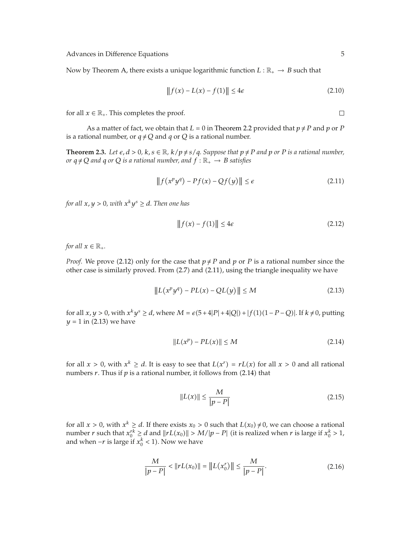Now by Theorem A, there exists a unique logarithmic function  $L : \mathbb{R}_+ \to B$  such that

$$
||f(x) - L(x) - f(1)|| \le 4\epsilon \tag{2.10}
$$

for all  $x \in \mathbb{R}_+$ . This completes the proof.

As a matter of fact, we obtain that  $L = 0$  in Theorem 2.2 provided that  $p \neq P$  and  $p$  or  $P$ is a rational number, or  $q \neq Q$  and  $q$  or  $Q$  is a rational number.

**Theorem 2.3.** Let  $\epsilon$ ,  $d > 0$ ,  $k$ ,  $s \in \mathbb{R}$ ,  $k/p \neq s/q$ . Suppose that  $p \neq P$  and  $p$  or  $P$  is a rational number, *or*  $q \neq Q$  *and*  $q$  *or*  $Q$  *is a rational number, and*  $f : \mathbb{R}_+ \to B$  *satisfies* 

$$
||f(x^p y^q) - Pf(x) - Qf(y)|| \le \epsilon \tag{2.11}
$$

*for all*  $x, y > 0$ *, with*  $x^k y^s \geq d$ *. Then one has* 

$$
||f(x) - f(1)|| \le 4\epsilon \tag{2.12}
$$

*for all*  $x \in \mathbb{R}_+$ *.* 

*Proof.* We prove (2.12) only for the case that  $p \neq P$  and p or P is a rational number since the other case is similarly proved. From  $(2.7)$  and  $(2.11)$ , using the triangle inequality we have

$$
||L(x^p y^q) - PL(x) - QL(y)|| \le M \tag{2.13}
$$

for all *x*, *y* > 0, with  $x^k y^s$  ≥ *d*, where *M* =  $\varepsilon$ (5+4|*P*|+4|*Q*|) + |*f*(1)(1−*P*−*Q*)|. If *k* ≠ 0, putting  $y = 1$  in (2.13) we have

$$
||L(x^p) - PL(x)|| \le M \tag{2.14}
$$

for all  $x > 0$ , with  $x^k \ge d$ . It is easy to see that  $L(x^r) = rL(x)$  for all  $x > 0$  and all rational numbers  $r$ . Thus if  $p$  is a rational number, it follows from  $(2.14)$  that

$$
||L(x)|| \le \frac{M}{|p - P|} \tag{2.15}
$$

for all  $x > 0$ , with  $x^k \ge d$ . If there exists  $x_0 > 0$  such that  $L(x_0) \ne 0$ , we can choose a rational number *r* such that  $x_0^{rk} \ge d$  and  $||rL(x_0)|| > M/|p - P|$  (it is realized when *r* is large if  $x_0^k > 1$ , and when  $-r$  is large if  $x_0^k < 1$ ). Now we have

$$
\frac{M}{|p - P|} < \|r L(x_0)\| = \|L(x_0^r)\| \le \frac{M}{|p - P|}.\tag{2.16}
$$

 $\Box$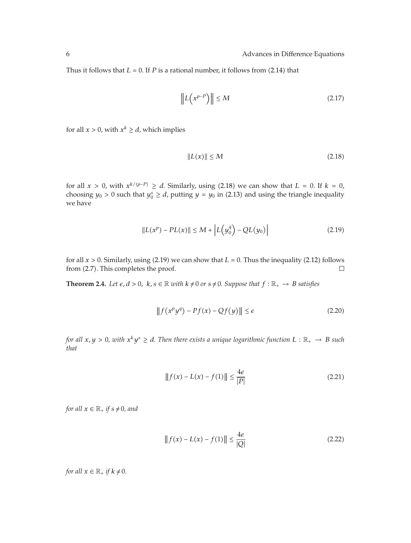Thus it follows that  $L = 0$ . If *P* is a rational number, it follows from (2.14) that

$$
\left\| L \left( x^{p-P} \right) \right\| \le M \tag{2.17}
$$

for all  $x > 0$ , with  $x^k \ge d$ , which implies

$$
||L(x)|| \le M \tag{2.18}
$$

for all  $x > 0$ , with  $x^{k/(p-P)} \ge d$ . Similarly, using (2.18) we can show that  $L = 0$ . If  $k = 0$ , choosing  $y_0 > 0$  such that  $y_0^s \ge d$ , putting  $y = y_0$  in (2.13) and using the triangle inequality we have

$$
||L(x^{p}) - PL(x)|| \le M + \left| L(y_0^q) - QL(y_0) \right| \tag{2.19}
$$

for all  $x > 0$ . Similarly, using (2.19) we can show that  $L = 0$ . Thus the inequality (2.12) follows from  $(2.7)$ . This completes the proof.  $\Box$ 

**Theorem 2.4.** Let  $\epsilon, d > 0$ ,  $k, s \in \mathbb{R}$  with  $k \neq 0$  or  $s \neq 0$ . Suppose that  $f : \mathbb{R}_+ \to B$  satisfies

$$
\|f(x^p y^q) - Pf(x) - Qf(y)\| \le \epsilon \tag{2.20}
$$

*for all*  $x, y > 0$ , with  $x^k y^s \geq d$ . Then there exists a unique logarithmic function  $L : \mathbb{R}_+ \to B$  such *that*

$$
|| f(x) - L(x) - f(1)|| \le \frac{4\epsilon}{|P|}
$$
 (2.21)

*for all*  $x \in \mathbb{R}_+$  *if*  $s \neq 0$ *, and* 

$$
||f(x) - L(x) - f(1)|| \le \frac{4\epsilon}{|Q|}
$$
 (2.22)

*for all*  $x \in \mathbb{R}_+$  *if*  $k \neq 0$ *.*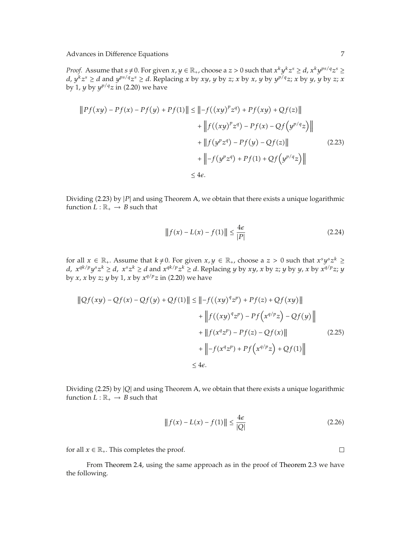*Proof.* Assume that  $s \neq 0$ . For given  $x, y \in \mathbb{R}_+$ , choose a  $z > 0$  such that  $x^k y^k z^s \geq d$ ,  $x^k y^{ps/q} z^s \geq$  $d, y^k z^s \ge d$  and  $y^{ps/q} z^s \ge d$ . Replacing x by xy, y by z; x by x, y by  $y^{p/q} z$ ; x by y, y by z; x by 1, *y* by  $y^{p/q}z$  in (2.20) we have

$$
||Pf(xy) - Pf(x) - Pf(y) + Pf(1)|| \le ||-f((xy)^p z^q) + Pf(xy) + Qf(z)||
$$
  
+ 
$$
||f((xy)^p z^q) - Pf(x) - Qf(y^{p/q} z)||
$$
  
+ 
$$
||f(y^p z^q) - Pf(y) - Qf(z)||
$$
(2.23)  
+ 
$$
||-f(y^p z^q) + Pf(1) + Qf(y^{p/q} z)||
$$
  

$$
\leq 4\epsilon.
$$

Dividing 2.23 by |*P*| and using Theorem A, we obtain that there exists a unique logarithmic function  $L : \mathbb{R}_+ \to B$  such that

$$
|| f(x) - L(x) - f(1)|| \le \frac{4\epsilon}{|P|}
$$
 (2.24)

for all  $x \in \mathbb{R}_+$ . Assume that  $k \neq 0$ . For given  $x, y \in \mathbb{R}_+$ , choose a  $z > 0$  such that  $x^s y^s z^k \ge$ *d,*  $x^{qk/p}y^{s}z^{k} ≥ d$ ,  $x^{s}z^{k} ≥ d$  and  $x^{qk/p}z^{k} ≥ d$ . Replacing *y* by *xy*, *x* by *z*; *y* by *y*, *x* by  $x^{q/p}z$ ; *y* by *x*, *x* by *z*; *y* by 1, *x* by  $x^{q/p}z$  in (2.20) we have

$$
\|Qf(xy) - Qf(x) - Qf(y) + Qf(1)\| \le \| -f((xy)^4 z^p) + Pf(z) + Qf(xy)\|
$$
  
+ 
$$
\| f((xy)^4 z^p) - Pf(x^{q/p} z) - Qf(y)\|
$$
  
+ 
$$
\| f(x^q z^p) - Pf(z) - Qf(x)\|
$$
  
+ 
$$
\| -f(x^q z^p) + Pf(x^{q/p} z) + Qf(1)\|
$$
  

$$
\le 4\epsilon.
$$
 (2.25)

Dividing 2.25 by |*Q*| and using Theorem A, we obtain that there exists a unique logarithmic function  $L : \mathbb{R}_+ \to B$  such that

$$
||f(x) - L(x) - f(1)|| \le \frac{4\epsilon}{|Q|}
$$
 (2.26)

for all  $x \in \mathbb{R}_+$ . This completes the proof.

From Theorem 2.4, using the same approach as in the proof of Theorem 2.3 we have the following.

 $\Box$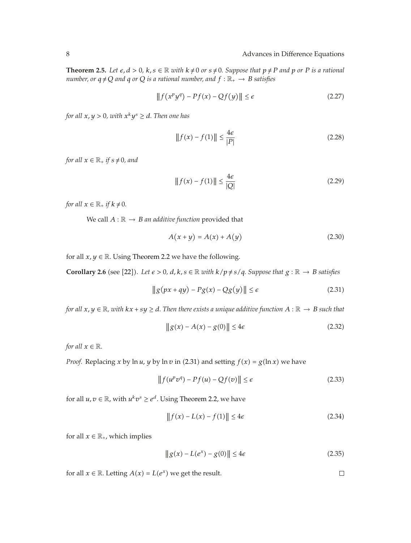**Theorem 2.5.** Let  $\epsilon$ ,  $d > 0$ ,  $k$ ,  $s \in \mathbb{R}$  with  $k \neq 0$  or  $s \neq 0$ . Suppose that  $p \neq P$  and  $p$  or  $P$  is a rational *number, or*  $q \neq Q$  *and*  $q$  *or*  $Q$  *is a rational number, and*  $f : \mathbb{R}_+ \to B$  *satisfies* 

$$
||f(x^p y^q) - Pf(x) - Qf(y)|| \le \epsilon \tag{2.27}
$$

*for all*  $x, y > 0$ *, with*  $x^k y^s \ge d$ *. Then one has* 

$$
|| f(x) - f(1)|| \le \frac{4\epsilon}{|P|}
$$
 (2.28)

*for all*  $x \in \mathbb{R}_+$  *if*  $s \neq 0$ *, and* 

$$
||f(x) - f(1)|| \le \frac{4\epsilon}{|Q|}
$$
 (2.29)

*for all*  $x \in \mathbb{R}_+$  *if*  $k \neq 0$ *.* 

We call  $A : \mathbb{R} \to B$  *an additive function* provided that

$$
A(x + y) = A(x) + A(y)
$$
 (2.30)

for all  $x, y \in \mathbb{R}$ . Using Theorem 2.2 we have the following.

**Corollary 2.6** (see [22]). Let  $\epsilon > 0$ ,  $d$ ,  $k$ ,  $s \in \mathbb{R}$  with  $k/p \neq s/q$ . Suppose that  $g : \mathbb{R} \to B$  satisfies

$$
\|g(px+qy) - Pg(x) - Qg(y)\| \le \epsilon \tag{2.31}
$$

*for all*  $x, y \in \mathbb{R}$ *, with*  $kx + sy \ge d$ *. Then there exists a unique additive function*  $A : \mathbb{R} \to B$  *such that* 

$$
\|g(x) - A(x) - g(0)\| \le 4\epsilon \tag{2.32}
$$

*for all*  $x \in \mathbb{R}$ *.* 

*Proof.* Replacing *x* by  $\ln u$ , *y* by  $\ln v$  in (2.31) and setting  $f(x) = g(\ln x)$  we have

$$
\|f(u^pv^q) - Pf(u) - Qf(v)\| \le \epsilon \tag{2.33}
$$

for all  $u, v \in \mathbb{R}$ , with  $u^k v^s \geq e^d$ . Using Theorem 2.2, we have

$$
||f(x) - L(x) - f(1)|| \le 4\epsilon \tag{2.34}
$$

for all  $x \in \mathbb{R}_+$ , which implies

$$
\|g(x) - L(e^x) - g(0)\| \le 4\epsilon
$$
 (2.35)

for all  $x \in \mathbb{R}$ . Letting  $A(x) = L(e^x)$  we get the result.  $\Box$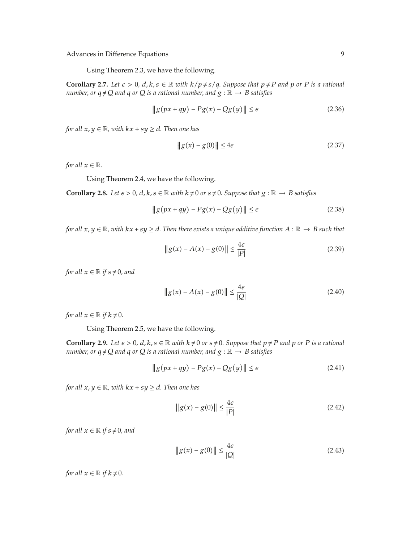Using Theorem 2.3, we have the following.

**Corollary 2.7.** Let  $\epsilon > 0$ ,  $d, k, s \in \mathbb{R}$  with  $k/p \neq s/q$ . Suppose that  $p \neq P$  and p or P is a rational *number, or*  $q \neq Q$  *and*  $q$  *or*  $Q$  *is a rational number, and*  $g : \mathbb{R} \to B$  *satisfies* 

$$
\|g(px+qy) - Pg(x) - Qg(y)\| \le \epsilon \tag{2.36}
$$

*for all*  $x, y \in \mathbb{R}$ *, with*  $kx + sy \ge d$ *. Then one has* 

$$
\|g(x) - g(0)\| \le 4\epsilon \tag{2.37}
$$

*for all*  $x \in \mathbb{R}$ *.* 

Using Theorem 2.4, we have the following.

**Corollary 2.8.** Let  $\epsilon > 0$ ,  $d, k, s \in \mathbb{R}$  with  $k \neq 0$  or  $s \neq 0$ . Suppose that  $g : \mathbb{R} \to B$  satisfies

$$
\|g(px+qy) - Pg(x) - Qg(y)\| \le \epsilon \tag{2.38}
$$

*for all*  $x, y \in \mathbb{R}$ *, with*  $kx + sy \ge d$ *. Then there exists a unique additive function*  $A : \mathbb{R} \to B$  *such that* 

$$
||g(x) - A(x) - g(0)|| \le \frac{4\epsilon}{|P|}
$$
 (2.39)

*for all*  $x \in \mathbb{R}$  *if*  $s \neq 0$ *, and* 

$$
\|g(x) - A(x) - g(0)\| \le \frac{4\epsilon}{|Q|}
$$
 (2.40)

*for all*  $x \in \mathbb{R}$  *if*  $k \neq 0$ *.* 

Using Theorem 2.5, we have the following.

**Corollary 2.9.** Let  $\epsilon > 0$ ,  $d, k, s \in \mathbb{R}$  with  $k \neq 0$  or  $s \neq 0$ . Suppose that  $p \neq P$  and  $p$  or  $P$  is a rational *number, or*  $q \neq Q$  *and*  $q$  *or*  $Q$  *is a rational number, and*  $g : \mathbb{R} \to B$  *satisfies* 

$$
\|g(px+qy) - Pg(x) - Qg(y)\| \le \epsilon \tag{2.41}
$$

*for all*  $x, y \in \mathbb{R}$ *, with*  $kx + sy \ge d$ *. Then one has* 

$$
\|g(x) - g(0)\| \le \frac{4\epsilon}{|P|} \tag{2.42}
$$

*for all*  $x \in \mathbb{R}$  *if*  $s \neq 0$ *, and* 

$$
||g(x) - g(0)|| \le \frac{4\epsilon}{|Q|}
$$
 (2.43)

*for all*  $x \in \mathbb{R}$  *if*  $k \neq 0$ *.*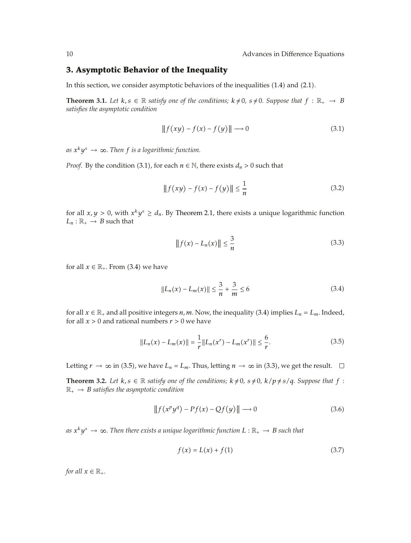#### **3. Asymptotic Behavior of the Inequality**

In this section, we consider asymptotic behaviors of the inequalities (1.4) and (2.1).

**Theorem 3.1.** Let  $k, s \in \mathbb{R}$  satisfy one of the conditions;  $k \neq 0$ ,  $s \neq 0$ . Suppose that  $f : \mathbb{R}_+ \to B$ *satisfies the asymptotic condition*

$$
|| f(xy) - f(x) - f(y)|| \longrightarrow 0 \tag{3.1}
$$

 $as x<sup>k</sup>y<sup>s</sup> \rightarrow \infty$ . Then *f is a logarithmic function.* 

*Proof.* By the condition (3.1), for each  $n \in \mathbb{N}$ , there exists  $d_n > 0$  such that

$$
|| f(xy) - f(x) - f(y)|| \le \frac{1}{n}
$$
 (3.2)

for all  $x, y > 0$ , with  $x^k y^s \ge d_n$ . By Theorem 2.1, there exists a unique logarithmic function  $L_n : \mathbb{R}_+ \to B$  such that

$$
|| f(x) - L_n(x) || \le \frac{3}{n}
$$
 (3.3)

for all  $x \in \mathbb{R}_+$ . From (3.4) we have

$$
||L_n(x) - L_m(x)|| \le \frac{3}{n} + \frac{3}{m} \le 6
$$
\n(3.4)

for all  $x \in \mathbb{R}_+$  and all positive integers *n*, *m*. Now, the inequality (3.4) implies  $L_n = L_m$ . Indeed, for all  $x > 0$  and rational numbers  $r > 0$  we have

$$
||L_n(x) - L_m(x)|| = \frac{1}{r} ||L_n(x^r) - L_m(x^r)|| \le \frac{6}{r}.
$$
 (3.5)

Letting  $r \to \infty$  in (3.5), we have  $L_n = L_m$ . Thus, letting  $n \to \infty$  in (3.3), we get the result.  $\Box$ 

**Theorem 3.2.** Let  $k, s \in \mathbb{R}$  satisfy one of the conditions;  $k \neq 0$ ,  $s \neq 0$ ,  $k/p \neq s/q$ . Suppose that  $f$ :  $\mathbb{R}_+ \to B$  *satisfies the asymptotic condition* 

$$
\|f(x^p y^q) - Pf(x) - Qf(y)\| \to 0
$$
\n(3.6)

*as*  $x^k y^s \to \infty$ . Then there exists a unique logarithmic function  $L : \mathbb{R}_+ \to B$  such that

$$
f(x) = L(x) + f(1)
$$
 (3.7)

*for all*  $x \in \mathbb{R}_+$ *.*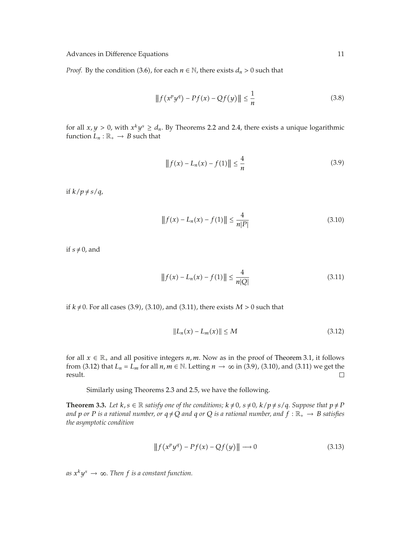*Proof.* By the condition (3.6), for each  $n \in \mathbb{N}$ , there exists  $d_n > 0$  such that

$$
|| f(x^p y^q) - Pf(x) - Qf(y)|| \le \frac{1}{n}
$$
 (3.8)

for all  $x, y > 0$ , with  $x^k y^s \ge d_n$ . By Theorems 2.2 and 2.4, there exists a unique logarithmic function  $L_n : \mathbb{R}_+ \to B$  such that

$$
|| f(x) - L_n(x) - f(1)|| \le \frac{4}{n}
$$
 (3.9)

if  $k/p \neq s/q$ ,

$$
|| f(x) - L_n(x) - f(1)|| \le \frac{4}{n|P|}
$$
\n(3.10)

if  $s \neq 0$ , and

$$
|| f(x) - L_n(x) - f(1)|| \le \frac{4}{n|Q|}
$$
\n(3.11)

if  $k \neq 0$ . For all cases (3.9), (3.10), and (3.11), there exists  $M > 0$  such that

$$
||L_n(x) - L_m(x)|| \le M
$$
\n(3.12)

for all  $x \in \mathbb{R}_+$  and all positive integers  $n, m$ . Now as in the proof of Theorem 3.1, it follows from (3.12) that *L<sub>n</sub>* = *L<sub>m</sub>* for all *n*, *m*  $\in$  N. Letting *n*  $\rightarrow \infty$  in (3.9), (3.10), and (3.11) we get the result. result.

Similarly using Theorems 2.3 and 2.5, we have the following.

**Theorem 3.3.** Let  $k, s \in \mathbb{R}$  satisfy one of the conditions;  $k \neq 0$ ,  $s \neq 0$ ,  $k/p \neq s/q$ . Suppose that  $p \neq P$ *and*  $p$  *or*  $P$  *is a rational number, or*  $q \neq Q$  *and*  $q$  *or*  $Q$  *is a rational number, and*  $f : \mathbb{R}_+ \to B$  *satisfies the asymptotic condition*

$$
||f(x^p y^q) - Pf(x) - Qf(y)|| \longrightarrow 0
$$
\n(3.13)

 $as x<sup>k</sup>y<sup>s</sup> \rightarrow \infty$ . Then *f is a constant function*.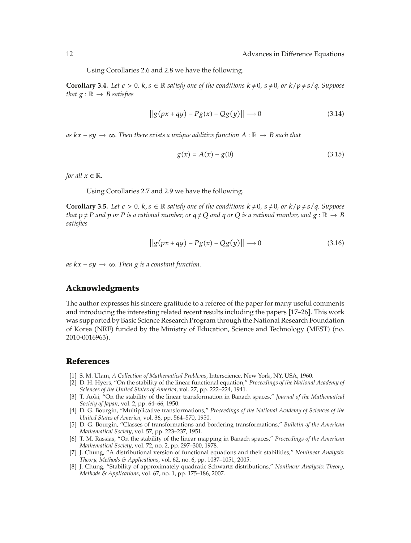Using Corollaries 2.6 and 2.8 we have the following.

**Corollary 3.4.** Let  $\epsilon > 0$ ,  $k, s \in \mathbb{R}$  satisfy one of the conditions  $k \neq 0$ ,  $s \neq 0$ , or  $k/p \neq s/q$ . Suppose *that*  $g : \mathbb{R} \to B$  *satisfies* 

$$
\|g(px+qy) - Pg(x) - Qg(y)\| \longrightarrow 0 \tag{3.14}
$$

*as*  $kx + sy \rightarrow \infty$ . Then there exists a unique additive function  $A : \mathbb{R} \rightarrow B$  such that

$$
g(x) = A(x) + g(0)
$$
 (3.15)

*for all*  $x \in \mathbb{R}$ *.* 

Using Corollaries 2.7 and 2.9 we have the following.

**Corollary 3.5.** Let  $\epsilon > 0$ ,  $k, s \in \mathbb{R}$  satisfy one of the conditions  $k \neq 0$ ,  $s \neq 0$ , or  $k/p \neq s/q$ . Suppose that  $p \neq P$  and p or P is a rational number, or  $q \neq Q$  and q or Q is a rational number, and  $g : \mathbb{R} \to B$ *satisfies*

$$
\|g(px+qy) - Pg(x) - Qg(y)\| \longrightarrow 0 \tag{3.16}
$$

 $as kx + sy \rightarrow \infty$ . Then *g* is a constant function.

#### **Acknowledgments**

The author expresses his sincere gratitude to a referee of the paper for many useful comments and introducing the interesting related recent results including the papers [17-26]. This work was supported by Basic Science Research Program through the National Research Foundation of Korea (NRF) funded by the Ministry of Education, Science and Technology (MEST) (no. 2010-0016963).

#### **References**

- 1 S. M. Ulam, *A Collection of Mathematical Problems*, Interscience, New York, NY, USA, 1960.
- 2 D. H. Hyers, "On the stability of the linear functional equation," *Proceedings of the National Academy of Sciences of the United States of America*, vol. 27, pp. 222–224, 1941.
- 3 T. Aoki, "On the stability of the linear transformation in Banach spaces," *Journal of the Mathematical Society of Japan*, vol. 2, pp. 64–66, 1950.
- 4 D. G. Bourgin, "Multiplicative transformations," *Proceedings of the National Academy of Sciences of the United States of America*, vol. 36, pp. 564–570, 1950.
- 5 D. G. Bourgin, "Classes of transformations and bordering transformations," *Bulletin of the American Mathematical Society*, vol. 57, pp. 223–237, 1951.
- 6 T. M. Rassias, "On the stability of the linear mapping in Banach spaces," *Proceedings of the American Mathematical Society*, vol. 72, no. 2, pp. 297–300, 1978.
- 7 J. Chung, "A distributional version of functional equations and their stabilities," *Nonlinear Analysis: Theory, Methods & Applications*, vol. 62, no. 6, pp. 1037–1051, 2005.
- 8 J. Chung, "Stability of approximately quadratic Schwartz distributions," *Nonlinear Analysis: Theory, Methods & Applications*, vol. 67, no. 1, pp. 175–186, 2007.